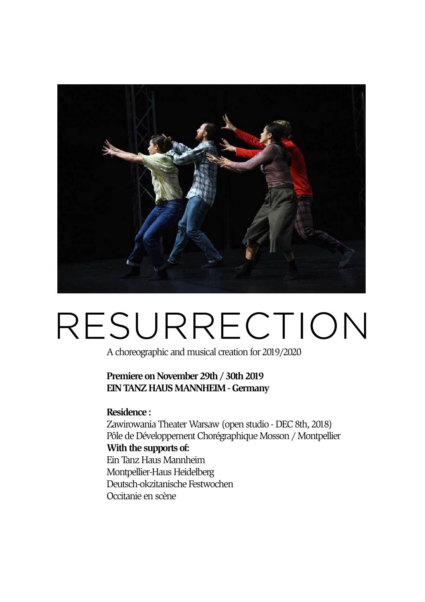

# RESURRECTION

A choreographic and musical creation for 2019/2020

**Premiere on November 29th / 30th 2019 EIN TANZ HAUS MANNHEIM - Germany** 

**Residence :** 

Zawirowania Theater Warsaw (open studio - DEC 8th, 2018) Pôle de Développement Chorégraphique Mosson / Montpellier **With the supports of:**  Ein Tanz Haus Mannheim Montpellier-Haus Heidelberg Deutsch-okzitanische Festwochen Occitanie en scène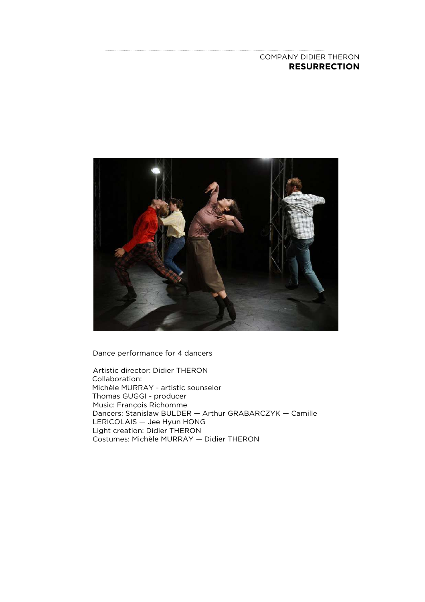# COMPANY DIDIER THERON **RESURRECTION**



Dance performance for 4 dancers

Artistic director: Didier THERON Collaboration: Michèle MURRAY - artistic sounselor Thomas GUGGI - producer Music: François Richomme Dancers: Stanislaw BULDER — Arthur GRABARCZYK — Camille LERICOLAIS — Jee Hyun HONG Light creation: Didier THERON Costumes: Michèle MURRAY — Didier THERON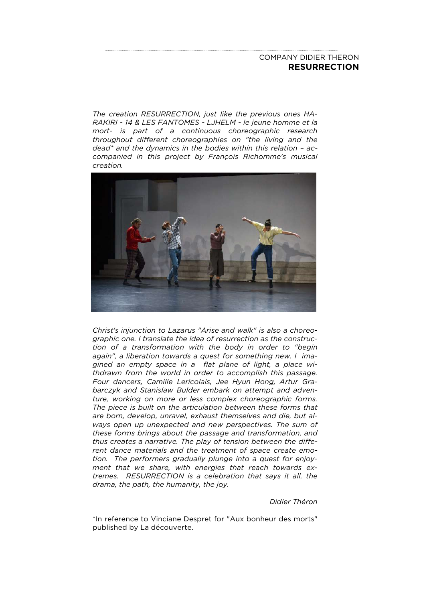# COMPANY DIDIER THERON **RESURRECTION**

*The creation RESURRECTION, just like the previous ones HA-RAKIRI - 14 & LES FANTOMES - LJHELM - le jeune homme et la mort- is part of a continuous choreographic research throughout different choreographies on "the living and the dead\* and the dynamics in the bodies within this relation – accompanied in this project by François Richomme's musical creation.* 



*Christ's injunction to Lazarus "Arise and walk" is also a choreographic one. I translate the idea of resurrection as the construction of a transformation with the body in order to "begin again", a liberation towards a quest for something new. I imagined an empty space in a flat plane of light, a place withdrawn from the world in order to accomplish this passage. Four dancers, Camille Lericolais, Jee Hyun Hong, Artur Grabarczyk and Stanislaw Bulder embark on attempt and adventure, working on more or less complex choreographic forms. The piece is built on the articulation between these forms that are born, develop, unravel, exhaust themselves and die, but always open up unexpected and new perspectives. The sum of these forms brings about the passage and transformation, and thus creates a narrative. The play of tension between the different dance materials and the treatment of space create emotion. The performers gradually plunge into a quest for enjoyment that we share, with energies that reach towards extremes. RESURRECTION is a celebration that says it all, the drama, the path, the humanity, the joy.* 

## *Didier Théron*

\*In reference to Vinciane Despret for "Aux bonheur des morts" published by La découverte.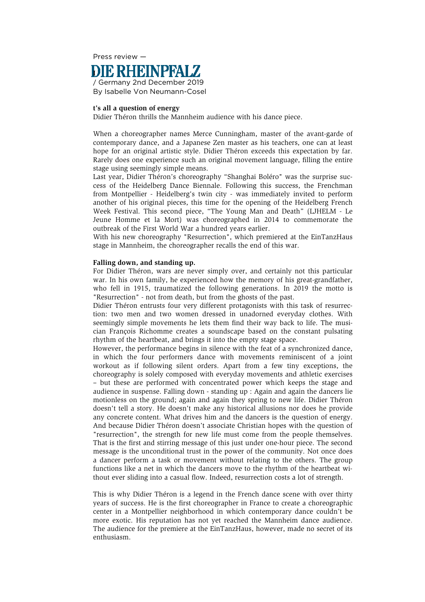

## **t's all a question of energy**

Didier Théron thrills the Mannheim audience with his dance piece.

When a choreographer names Merce Cunningham, master of the avant-garde of contemporary dance, and a Japanese Zen master as his teachers, one can at least hope for an original artistic style. Didier Théron exceeds this expectation by far. Rarely does one experience such an original movement language, filling the entire stage using seemingly simple means.

Last year, Didier Théron's choreography "Shanghai Boléro" was the surprise success of the Heidelberg Dance Biennale. Following this success, the Frenchman from Montpellier - Heidelberg's twin city - was immediately invited to perform another of his original pieces, this time for the opening of the Heidelberg French Week Festival. This second piece, "The Young Man and Death" (LJHELM - Le Jeune Homme et la Mort) was choreographed in 2014 to commemorate the outbreak of the First World War a hundred years earlier.

With his new choreography "Resurrection", which premiered at the EinTanzHaus stage in Mannheim, the choreographer recalls the end of this war.

## **Falling down, and standing up.**

For Didier Théron, wars are never simply over, and certainly not this particular war. In his own family, he experienced how the memory of his great-grandfather, who fell in 1915, traumatized the following generations. In 2019 the motto is "Resurrection" - not from death, but from the ghosts of the past.

Didier Théron entrusts four very different protagonists with this task of resurrection: two men and two women dressed in unadorned everyday clothes. With seemingly simple movements he lets them find their way back to life. The musician François Richomme creates a soundscape based on the constant pulsating rhythm of the heartbeat, and brings it into the empty stage space.

However, the performance begins in silence with the feat of a synchronized dance, in which the four performers dance with movements reminiscent of a joint workout as if following silent orders. Apart from a few tiny exceptions, the choreography is solely composed with everyday movements and athletic exercises – but these are performed with concentrated power which keeps the stage and audience in suspense. Falling down - standing up : Again and again the dancers lie motionless on the ground; again and again they spring to new life. Didier Théron doesn't tell a story. He doesn't make any historical allusions nor does he provide any concrete content. What drives him and the dancers is the question of energy. And because Didier Théron doesn't associate Christian hopes with the question of "resurrection", the strength for new life must come from the people themselves. That is the first and stirring message of this just under one-hour piece. The second message is the unconditional trust in the power of the community. Not once does a dancer perform a task or movement without relating to the others. The group functions like a net in which the dancers move to the rhythm of the heartbeat without ever sliding into a casual flow. Indeed, resurrection costs a lot of strength.

This is why Didier Théron is a legend in the French dance scene with over thirty years of success. He is the first choreographer in France to create a choreographic center in a Montpellier neighborhood in which contemporary dance couldn't be more exotic. His reputation has not yet reached the Mannheim dance audience. The audience for the premiere at the EinTanzHaus, however, made no secret of its enthusiasm.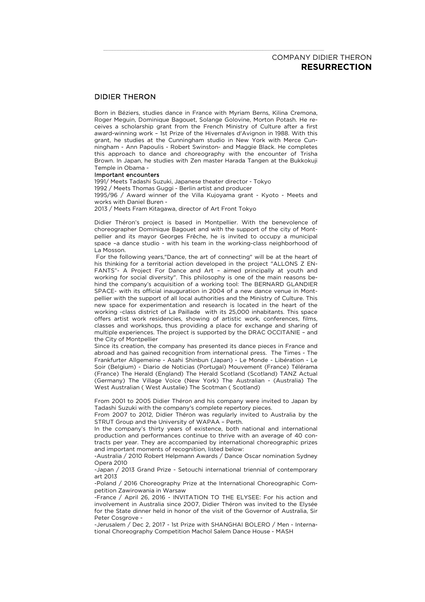# COMPANY DIDIER THERON **RESURRECTION**

## DIDIER THERON

Born in Béziers, studies dance in France with Myriam Berns, Kilina Cremona, Roger Meguin, Dominique Bagouet, Solange Golovine, Morton Potash. He receives a scholarship grant from the French Ministry of Culture after a first award-winning work – 1st Prize of the Hivernales d'Avignon in 1988. With this grant, he studies at the Cunningham studio in New York with Merce Cunningham - Ann Papoulis - Robert Swinston- and Maggie Black. He completes this approach to dance and choreography with the encounter of Trisha Brown. In Japan, he studies with Zen master Harada Tangen at the Bukkokuji Temple in Obama -

#### Important encounters

1991/ Meets Tadashi Suzuki, Japanese theater director - Tokyo 1992 / Meets Thomas Guggi - Berlin artist and producer 1995/96 / Award winner of the Villa Kujoyama grant - Kyoto - Meets and works with Daniel Buren - 2013 / Meets Fram Kitagawa, director of Art Front Tokyo

Didier Théron's project is based in Montpellier. With the benevolence of choreographer Dominique Bagouet and with the support of the city of Montpellier and its mayor Georges Frêche, he is invited to occupy a municipal space –a dance studio - with his team in the working-class neighborhood of La Mosson.

 For the following years,"Dance, the art of connecting" will be at the heart of his thinking for a territorial action developed in the project "ALLONS Z EN-FANTS"- A Project For Dance and Art – aimed principally at youth and working for social diversity". This philosophy is one of the main reasons behind the company's acquisition of a working tool: The BERNARD GLANDIER SPACE- with its official inauguration in 2004 of a new dance venue in Montpellier with the support of all local authorities and the Ministry of Culture. This new space for experimentation and research is located in the heart of the working -class district of La Paillade with its 25,000 inhabitants. This space offers artist work residencies, showing of artistic work, conferences, films, classes and workshops, thus providing a place for exchange and sharing of multiple experiences. The project is supported by the DRAC OCCITANIE – and the City of Montpellier

Since its creation, the company has presented its dance pieces in France and abroad and has gained recognition from international press. The Times - The Frankfurter Allgemeine - Asahi Shinbun (Japan) - Le Monde - Libération - Le Soir (Belgium) - Diario de Noticias (Portugal) Mouvement (France) Télérama (France) The Herald (England) The Herald Scotland (Scotland) TANZ Actual (Germany) The Village Voice (New York) The Australian - (Australia) The West Australian ( West Austalie) The Scotman ( Scotland)

From 2001 to 2005 Didier Théron and his company were invited to Japan by Tadashi Suzuki with the company's complete repertory pieces.

From 2007 to 2012, Didier Théron was regularly invited to Australia by the STRUT Group and the University of WAPAA – Perth.

In the company's thirty years of existence, both national and international production and performances continue to thrive with an average of 40 contracts per year. They are accompanied by international choreographic prizes and important moments of recognition, listed below:

-Australia / 2010 Robert Helpmann Awards / Dance Oscar nomination Sydney Opera 2010

-Japan / 2013 Grand Prize - Setouchi international triennial of contemporary art 2013

-Poland / 2016 Choreography Prize at the International Choreographic Competition Zawirowania in Warsaw

.<br>-France / April 26, 2016 - INVITATION TO THE ELYSEE: For his action and involvement in Australia since 2007, Didier Théron was invited to the Elysée for the State dinner held in honor of the visit of the Governor of Australia, Sir Peter Cosgrove -

-Jerusalem / Dec 2, 2017 - 1st Prize with SHANGHAI BOLERO / Men - International Choreography Competition Machol Salem Dance House - MASH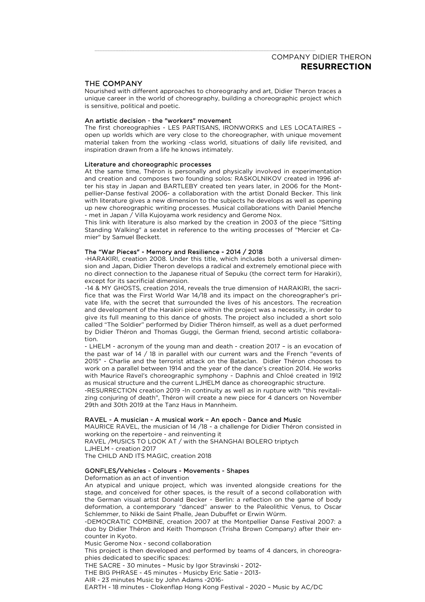# THE COMPANY

Nourished with different approaches to choreography and art, Didier Theron traces a unique career in the world of choreography, building a choreographic project which is sensitive, political and poetic.

### An artistic decision - the "workers" movement

The first choreographies - LES PARTISANS, IRONWORKS and LES LOCATAIRES – open up worlds which are very close to the choreographer, with unique movement material taken from the working -class world, situations of daily life revisited, and inspiration drawn from a life he knows intimately.

#### Literature and choreographic processes

At the same time, Théron is personally and physically involved in experimentation and creation and composes two founding solos: RASKOLNIKOV created in 1996 after his stay in Japan and BARTLEBY created ten years later, in 2006 for the Montpellier-Danse festival 2006- a collaboration with the artist Donald Becker. This link with literature gives a new dimension to the subjects he develops as well as opening up new choreographic writing processes. Musical collaborations with Daniel Menche - met in Japan / Villa Kujoyama work residency and Gerome Nox.

This link with literature is also marked by the creation in 2003 of the piece "Sitting Standing Walking" a sextet in reference to the writing processes of "Mercier et Camier" by Samuel Beckett.

#### The "War Pieces" - Memory and Resilience - 2014 / 2018

-HARAKIRI, creation 2008. Under this title, which includes both a universal dimension and Japan, Didier Theron develops a radical and extremely emotional piece with no direct connection to the Japanese ritual of Sepuku (the correct term for Harakiri), except for its sacrificial dimension.

-14 & MY GHOSTS, creation 2014, reveals the true dimension of HARAKIRI, the sacrifice that was the First World War 14/18 and its impact on the choreographer's private life, with the secret that surrounded the lives of his ancestors. The recreation and development of the Harakiri piece within the project was a necessity, in order to give its full meaning to this dance of ghosts. The project also included a short solo called "The Soldier" performed by Didier Théron himself, as well as a duet performed by Didier Théron and Thomas Guggi, the German friend, second artistic collaboration.

- LHELM - acronym of the young man and death - creation 2017 – is an evocation of the past war of 14 / 18 in parallel with our current wars and the French "events of 2015" - Charlie and the terrorist attack on the Bataclan. Didier Théron chooses to work on a parallel between 1914 and the year of the dance's creation 2014. He works with Maurice Ravel's choreographic symphony - Daphnis and Chloé created in 1912 as musical structure and the current LJHELM dance as choreographic structure.

-RESURRECTION creation 2019 -In continuity as well as in rupture with "this revitalizing conjuring of death", Théron will create a new piece for 4 dancers on November 29th and 30th 2019 at the Tanz Haus in Mannheim.

## RAVEL - A musician - A musical work – An epoch - Dance and Music

MAURICE RAVEL, the musician of 14 /18 - a challenge for Didier Théron consisted in working on the repertoire - and reinventing it RAVEL /MUSICS TO LOOK AT / with the SHANGHAI BOLERO triptych LJHELM - creation 2017

The CHILD AND ITS MAGIC, creation 2018

#### GONFLES/Vehicles - Colours - Movements - Shapes

Deformation as an act of invention

An atypical and unique project, which was invented alongside creations for the stage, and conceived for other spaces, is the result of a second collaboration with the German visual artist Donald Becker - Berlin: a reflection on the game of body deformation, a contemporary "danced" answer to the Paleolithic Venus, to Oscar Schlemmer, to Nikki de Saint Phalle, Jean Dubuffet or Erwin Würm.

-DEMOCRATIC COMBINE, creation 2007 at the Montpellier Danse Festival 2007: a duo by Didier Théron and Keith Thompson (Trisha Brown Company) after their encounter in Kyoto.

Music Gerome Nox - second collaboration

This project is then developed and performed by teams of 4 dancers, in choreographies dedicated to specific spaces:

THE SACRE - 30 minutes – Music by Igor Stravinski - 2012-

THE BIG PHRASE - 45 minutes - Musicby Eric Satie - 2013-

AIR - 23 minutes Music by John Adams -2016-

EARTH - 18 minutes - Clokenflap Hong Kong Festival - 2020 – Music by AC/DC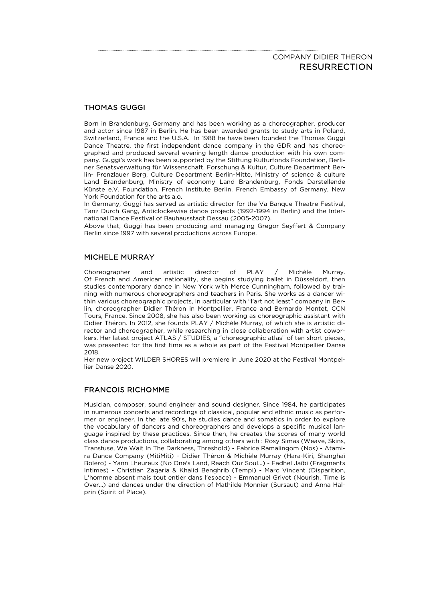# THOMAS GUGGI

Born in Brandenburg, Germany and has been working as a choreographer, producer and actor since 1987 in Berlin. He has been awarded grants to study arts in Poland, Switzerland, France and the U.S.A. In 1988 he have been founded the Thomas Guggi Dance Theatre, the first independent dance company in the GDR and has choreographed and produced several evening length dance production with his own company. Guggi's work has been supported by the Stiftung Kulturfonds Foundation, Berliner Senatsverwaltung für Wissenschaft, Forschung & Kultur, Culture Department Berlin- Prenzlauer Berg, Culture Department Berlin-Mitte, Ministry of science & culture Land Brandenburg, Ministry of economy Land Brandenburg, Fonds Darstellende Künste e.V. Foundation, French Institute Berlin, French Embassy of Germany, New York Foundation for the arts a.o.

In Germany, Guggi has served as artistic director for the Va Banque Theatre Festival, Tanz Durch Gang, Anticlockewise dance projects (1992-1994 in Berlin) and the International Dance Festival of Bauhausstadt Dessau (2005-2007).

Above that, Guggi has been producing and managing Gregor Seyffert & Company Berlin since 1997 with several productions across Europe.

## MICHELE MURRAY

Choreographer and artistic director of PLAY / Michèle Murray. Of French and American nationality, she begins studying ballet in Düsseldorf, then studies contemporary dance in New York with Merce Cunningham, followed by training with numerous choreographers and teachers in Paris. She works as a dancer within various choreographic projects, in particular with "l'art not least" company in Berlin, choreographer Didier Théron in Montpellier, France and Bernardo Montet, CCN Tours, France. Since 2008, she has also been working as choreographic assistant with Didier Théron. In 2012, she founds PLAY / Michèle Murray, of which she is artistic director and choreographer, while researching in close collaboration with artist coworkers. Her latest project ATLAS / STUDIES, a "choreographic atlas" of ten short pieces, was presented for the first time as a whole as part of the Festival Montpellier Danse  $2018$ 

Her new project WILDER SHORES will premiere in June 2020 at the Festival Montpellier Danse 2020.

# FRANCOIS RICHOMME

Musician, composer, sound engineer and sound designer. Since 1984, he participates in numerous concerts and recordings of classical, popular and ethnic music as performer or engineer. In the late 90's, he studies dance and somatics in order to explore the vocabulary of dancers and choreographers and develops a specific musical language inspired by these practices. Since then, he creates the scores of many world class dance productions, collaborating among others with : Rosy Simas (Weave, Skins, Transfuse, We Wait In The Darkness, Threshold) - Fabrice Ramalingom (Nos) - Atamira Dance Company (MitiMiti) - Didier Théron & Michèle Murray (Hara-Kiri, Shanghaï Boléro) - Yann Lheureux (No One's Land, Reach Our Soul…) - Fadhel Jaïbi (Fragments Intimes) - Christian Zagaria & Khalid Benghrib (Tempi) - Marc Vincent (Disparition, L'homme absent mais tout entier dans l'espace) - Emmanuel Grivet (Nourish, Time is Over…) and dances under the direction of Mathilde Monnier (Sursaut) and Anna Halprin (Spirit of Place).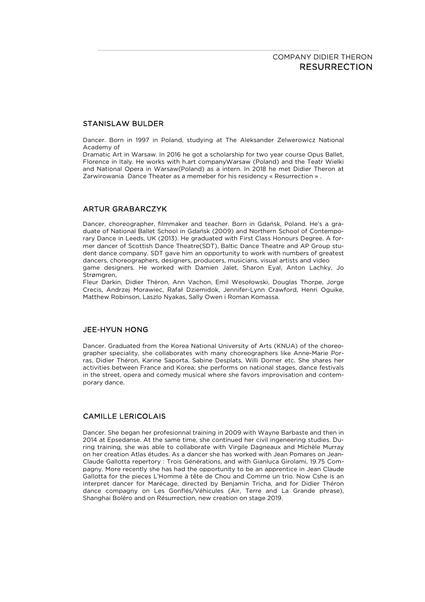# STANISLAW BULDER

Dancer. Born in 1997 in Poland, studying at The Aleksander Zelwerowicz National Academy of

Dramatic Art in Warsaw. In 2016 he got a scholarship for two year course Opus Ballet, Florence in Italy. He works with h.art companyWarsaw (Poland) and the Teatr Wielki and National Opera in Warsaw(Poland) as a intern. In 2018 he met Didier Theron at Zarwirowania Dance Theater as a memeber for his residency « Resurrection » .

# ARTUR GRABARCZYK

Dancer, choreographer, filmmaker and teacher. Born in Gdańsk, Poland. He's a graduate of National Ballet School in Gdańsk (2009) and Northern School of Contemporary Dance in Leeds, UK (2013). He graduated with First Class Honours Degree. A former dancer of Scottish Dance Theatre(SDT), Baltic Dance Theatre and AP Group student dance company. SDT gave him an opportunity to work with numbers of greatest dancers, choreographers, designers, producers, musicians, visual artists and video game designers. He worked with Damien Jalet, Sharon Eyal, Anton Lachky, Jo Strømgren,

Fleur Darkin, Didier Thèron, Ann Vachon, Emil Wesołowski, Douglas Thorpe, Jorge Crecis, Andrzej Morawiec, Rafał Dziemidok, Jennifer-Lynn Crawford, Henri Oguike, Matthew Robinson, Laszlo Nyakas, Sally Owen i Roman Komassa.

## JEE-HYUN HONG

Dancer. Graduated from the Korea National University of Arts (KNUA) of the choreographer speciality, she collaborates with many choreographers like Anne-Marie Porras, Didier Théron, Karine Saporta, Sabine Desplats, Willi Dorner etc. She shares her activities between France and Korea; she performs on national stages, dance festivals in the street, opera and comedy musical where she favors improvisation and contemporary dance.

# CAMILLE LERICOLAIS

Dancer. She began her profesionnal training in 2009 with Wayne Barbaste and then in 2014 at Epsedanse. At the same time, she continued her civil ingeneering studies. During training, she was able to collaborate with Virgile Dagneaux and Michèle Murray on her creation Atlas études. As a dancer she has worked with Jean Pomares on Jean-Claude Gallotta repertory : Trois Générations, and with Gianluca Girolami, 19.75 Compagny. More recently she has had the opportunity to be an apprentice in Jean Claude Gallotta for the pieces L'Homme à tête de Chou and Comme un trio. Now Cshe is an interpret dancer for Marécage, directed by Benjamin Tricha, and for Didier Théron dance compagny on Les Gonflés/Véhicules (Air, Terre and La Grande phrase), Shanghai Boléro and on Résurrection, new creation on stage 2019.